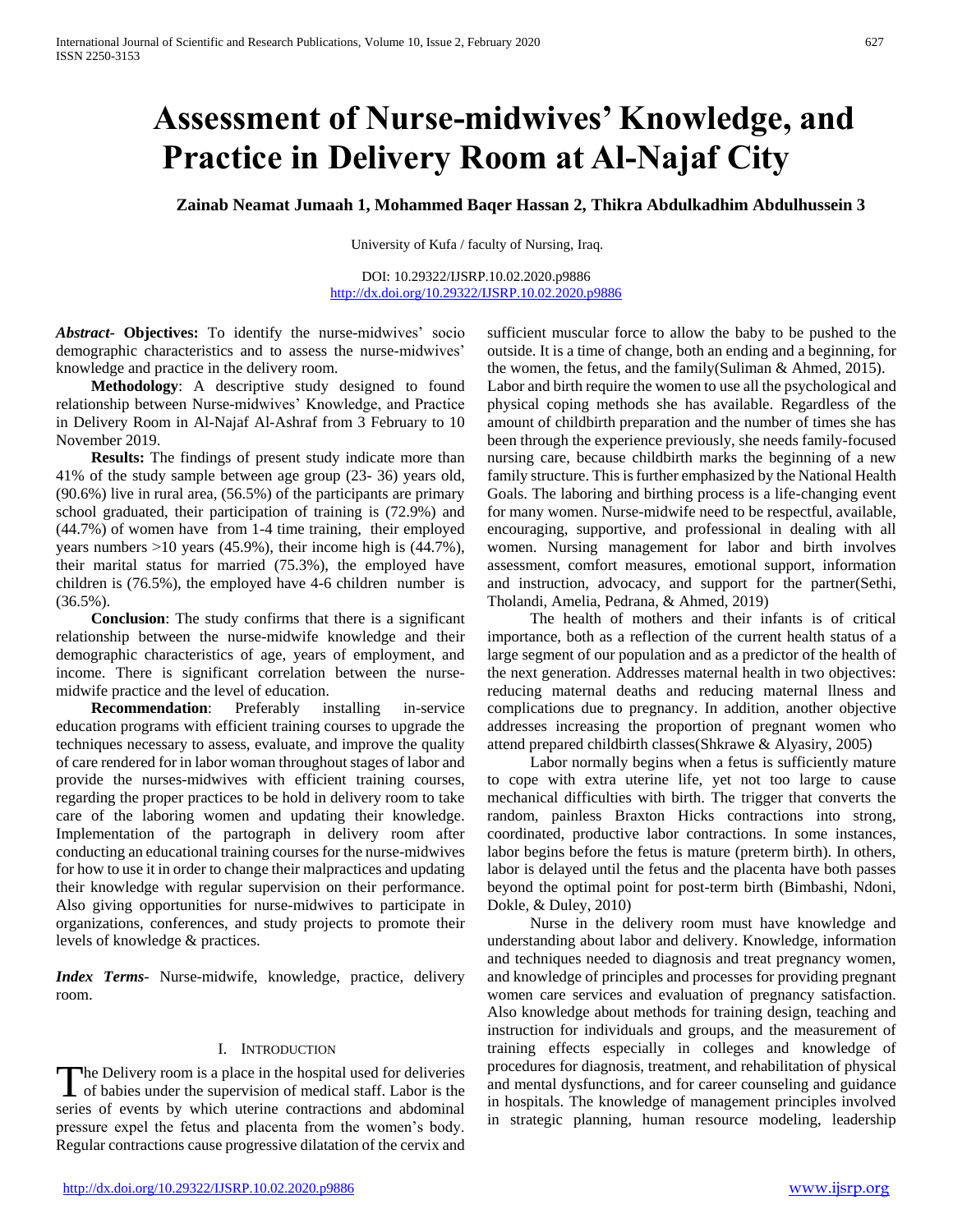# **Assessment of Nurse-midwives' Knowledge, and Practice in Delivery Room at Al-Najaf City**

**Zainab Neamat Jumaah 1, Mohammed Baqer Hassan 2, Thikra Abdulkadhim Abdulhussein 3**

University of Kufa / faculty of Nursing, Iraq.

DOI: 10.29322/IJSRP.10.02.2020.p9886 <http://dx.doi.org/10.29322/IJSRP.10.02.2020.p9886>

*Abstract***- Objectives:** To identify the nurse-midwives' socio demographic characteristics and to assess the nurse-midwives' knowledge and practice in the delivery room.

 **Methodology**: A descriptive study designed to found relationship between Nurse-midwives' Knowledge, and Practice in Delivery Room in Al-Najaf Al-Ashraf from 3 February to 10 November 2019.

 **Results:** The findings of present study indicate more than 41% of the study sample between age group (23- 36) years old, (90.6%) live in rural area, (56.5%) of the participants are primary school graduated, their participation of training is (72.9%) and (44.7%) of women have from 1-4 time training, their employed years numbers <10 years (45.9%), their income high is (44.7%), their marital status for married (75.3%), the employed have children is (76.5%), the employed have 4-6 children number is (36.5%).

 **Conclusion**: The study confirms that there is a significant relationship between the nurse-midwife knowledge and their demographic characteristics of age, years of employment, and income. There is significant correlation between the nursemidwife practice and the level of education.

 **Recommendation**: Preferably installing in-service education programs with efficient training courses to upgrade the techniques necessary to assess, evaluate, and improve the quality of care rendered for in labor woman throughout stages of labor and provide the nurses-midwives with efficient training courses, regarding the proper practices to be hold in delivery room to take care of the laboring women and updating their knowledge. Implementation of the partograph in delivery room after conducting an educational training courses for the nurse-midwives for how to use it in order to change their malpractices and updating their knowledge with regular supervision on their performance. Also giving opportunities for nurse-midwives to participate in organizations, conferences, and study projects to promote their levels of knowledge & practices.

*Index Terms*- Nurse-midwife, knowledge, practice, delivery room.

# I. INTRODUCTION

The Delivery room is a place in the hospital used for deliveries The Delivery room is a place in the hospital used for deliveries of babies under the supervision of medical staff. Labor is the series of events by which uterine contractions and abdominal pressure expel the fetus and placenta from the women's body. Regular contractions cause progressive dilatation of the cervix and

sufficient muscular force to allow the baby to be pushed to the outside. It is a time of change, both an ending and a beginning, for the women, the fetus, and the family(Suliman & Ahmed, 2015).

Labor and birth require the women to use all the psychological and physical coping methods she has available. Regardless of the amount of childbirth preparation and the number of times she has been through the experience previously, she needs family-focused nursing care, because childbirth marks the beginning of a new family structure. This is further emphasized by the National Health Goals. The laboring and birthing process is a life-changing event for many women. Nurse-midwife need to be respectful, available, encouraging, supportive, and professional in dealing with all women. Nursing management for labor and birth involves assessment, comfort measures, emotional support, information and instruction, advocacy, and support for the partner(Sethi, Tholandi, Amelia, Pedrana, & Ahmed, 2019)

 The health of mothers and their infants is of critical importance, both as a reflection of the current health status of a large segment of our population and as a predictor of the health of the next generation. Addresses maternal health in two objectives: reducing maternal deaths and reducing maternal llness and complications due to pregnancy. In addition, another objective addresses increasing the proportion of pregnant women who attend prepared childbirth classes(Shkrawe & Alyasiry, 2005)

 Labor normally begins when a fetus is sufficiently mature to cope with extra uterine life, yet not too large to cause mechanical difficulties with birth. The trigger that converts the random, painless Braxton Hicks contractions into strong, coordinated, productive labor contractions. In some instances, labor begins before the fetus is mature (preterm birth). In others, labor is delayed until the fetus and the placenta have both passes beyond the optimal point for post-term birth (Bimbashi, Ndoni, Dokle, & Duley, 2010)

 Nurse in the delivery room must have knowledge and understanding about labor and delivery. Knowledge, information and techniques needed to diagnosis and treat pregnancy women, and knowledge of principles and processes for providing pregnant women care services and evaluation of pregnancy satisfaction. Also knowledge about methods for training design, teaching and instruction for individuals and groups, and the measurement of training effects especially in colleges and knowledge of procedures for diagnosis, treatment, and rehabilitation of physical and mental dysfunctions, and for career counseling and guidance in hospitals. The knowledge of management principles involved in strategic planning, human resource modeling, leadership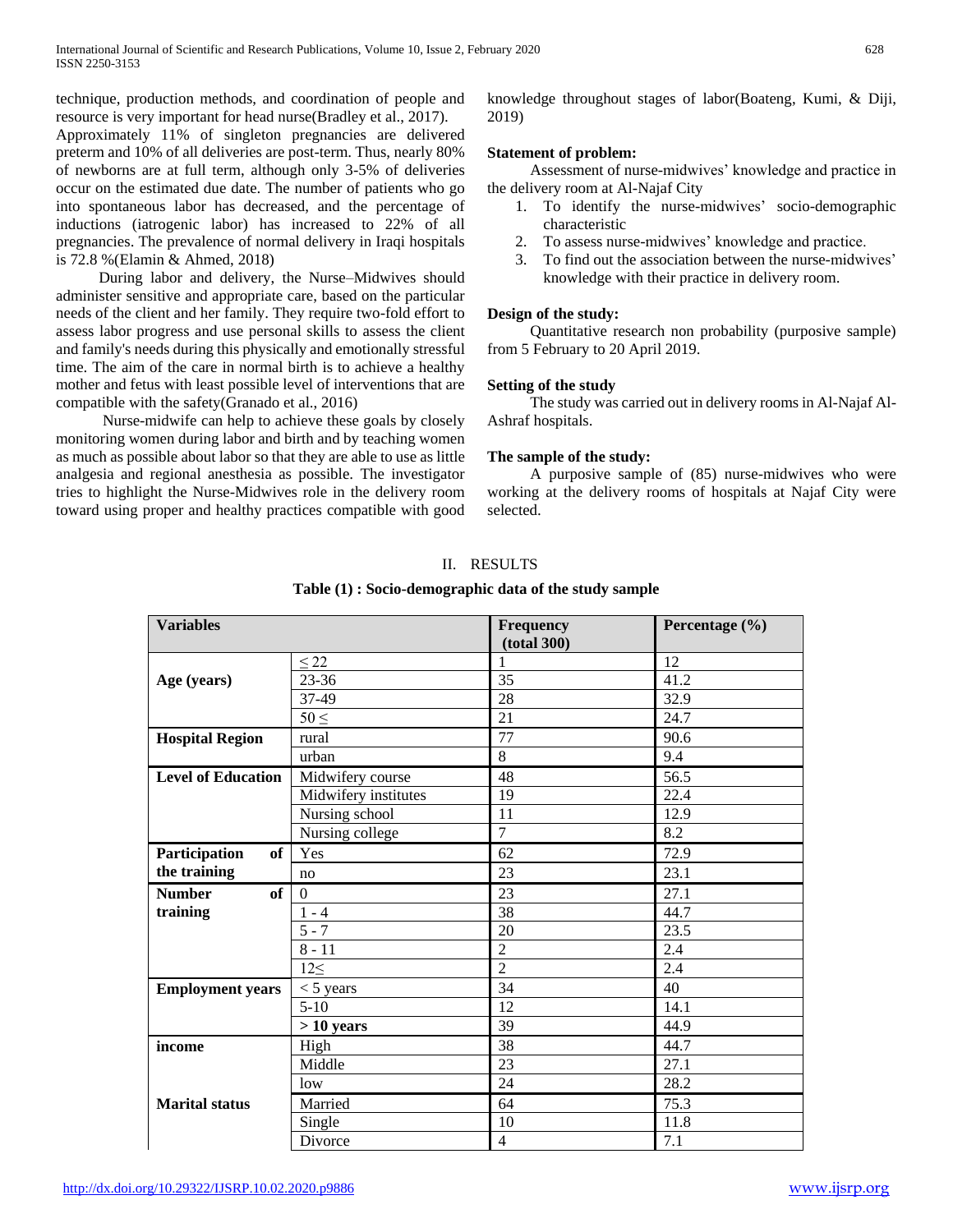technique, production methods, and coordination of people and resource is very important for head nurse(Bradley et al., 2017).

Approximately 11% of singleton pregnancies are delivered preterm and 10% of all deliveries are post-term. Thus, nearly 80% of newborns are at full term, although only 3-5% of deliveries occur on the estimated due date. The number of patients who go into spontaneous labor has decreased, and the percentage of inductions (iatrogenic labor) has increased to 22% of all pregnancies. The prevalence of normal delivery in Iraqi hospitals is 72.8 %(Elamin & Ahmed, 2018)

 During labor and delivery, the Nurse–Midwives should administer sensitive and appropriate care, based on the particular needs of the client and her family. They require two-fold effort to assess labor progress and use personal skills to assess the client and family's needs during this physically and emotionally stressful time. The aim of the care in normal birth is to achieve a healthy mother and fetus with least possible level of interventions that are compatible with the safety(Granado et al., 2016)

 Nurse-midwife can help to achieve these goals by closely monitoring women during labor and birth and by teaching women as much as possible about labor so that they are able to use as little analgesia and regional anesthesia as possible. The investigator tries to highlight the Nurse-Midwives role in the delivery room toward using proper and healthy practices compatible with good

knowledge throughout stages of labor(Boateng, Kumi, & Diji, 2019)

# **Statement of problem:**

 Assessment of nurse-midwives' knowledge and practice in the delivery room at Al-Najaf City

- 1. To identify the nurse-midwives' socio-demographic characteristic
- 2. To assess nurse-midwives' knowledge and practice.
- 3. To find out the association between the nurse-midwives' knowledge with their practice in delivery room.

# **Design of the study:**

 Quantitative research non probability (purposive sample) from 5 February to 20 April 2019.

# **Setting of the study**

 The study was carried out in delivery rooms in Al-Najaf Al-Ashraf hospitals.

# **The sample of the study:**

 A purposive sample of (85) nurse-midwives who were working at the delivery rooms of hospitals at Najaf City were selected.

| <b>Variables</b>          |                      | <b>Frequency</b><br>(total 300) | Percentage (%)   |
|---------------------------|----------------------|---------------------------------|------------------|
|                           | $\leq 22$            | 1                               | 12               |
| Age (years)               | 23-36                | 35                              | 41.2             |
|                           | 37-49                | 28                              | 32.9             |
|                           | $50 \leq$            | 21                              | 24.7             |
| <b>Hospital Region</b>    | rural                | 77                              | 90.6             |
|                           | urban                | 8                               | 9.4              |
| <b>Level of Education</b> | Midwifery course     | 48                              | 56.5             |
|                           | Midwifery institutes | 19                              | 22.4             |
|                           | Nursing school       | 11                              | 12.9             |
|                           | Nursing college      | $\overline{7}$                  | 8.2              |
| of<br>Participation       | Yes                  | 62                              | 72.9             |
| the training              | no                   | 23                              | 23.1             |
| <b>Number</b><br>of       | $\Omega$             | 23                              | 27.1             |
| training                  | $1 - 4$              | 38                              | 44.7             |
|                           | $5 - 7$              | 20                              | 23.5             |
|                           | $8 - 11$             | $\overline{2}$                  | 2.4              |
|                           | $12 \leq$            | $\overline{2}$                  | $\overline{2.4}$ |
| <b>Employment years</b>   | $<$ 5 years          | 34                              | 40               |
|                           | $5-10$               | 12                              | 14.1             |
|                           | $> 10$ years         | 39                              | 44.9             |
| income                    | High                 | 38                              | 44.7             |
|                           | Middle               | 23                              | 27.1             |
|                           | low                  | 24                              | 28.2             |
| <b>Marital status</b>     | Married              | 64                              | 75.3             |
|                           | Single               | 10                              | 11.8             |
|                           | Divorce              | $\overline{4}$                  | $\overline{7.1}$ |

II. RESULTS

**Table (1) : Socio-demographic data of the study sample**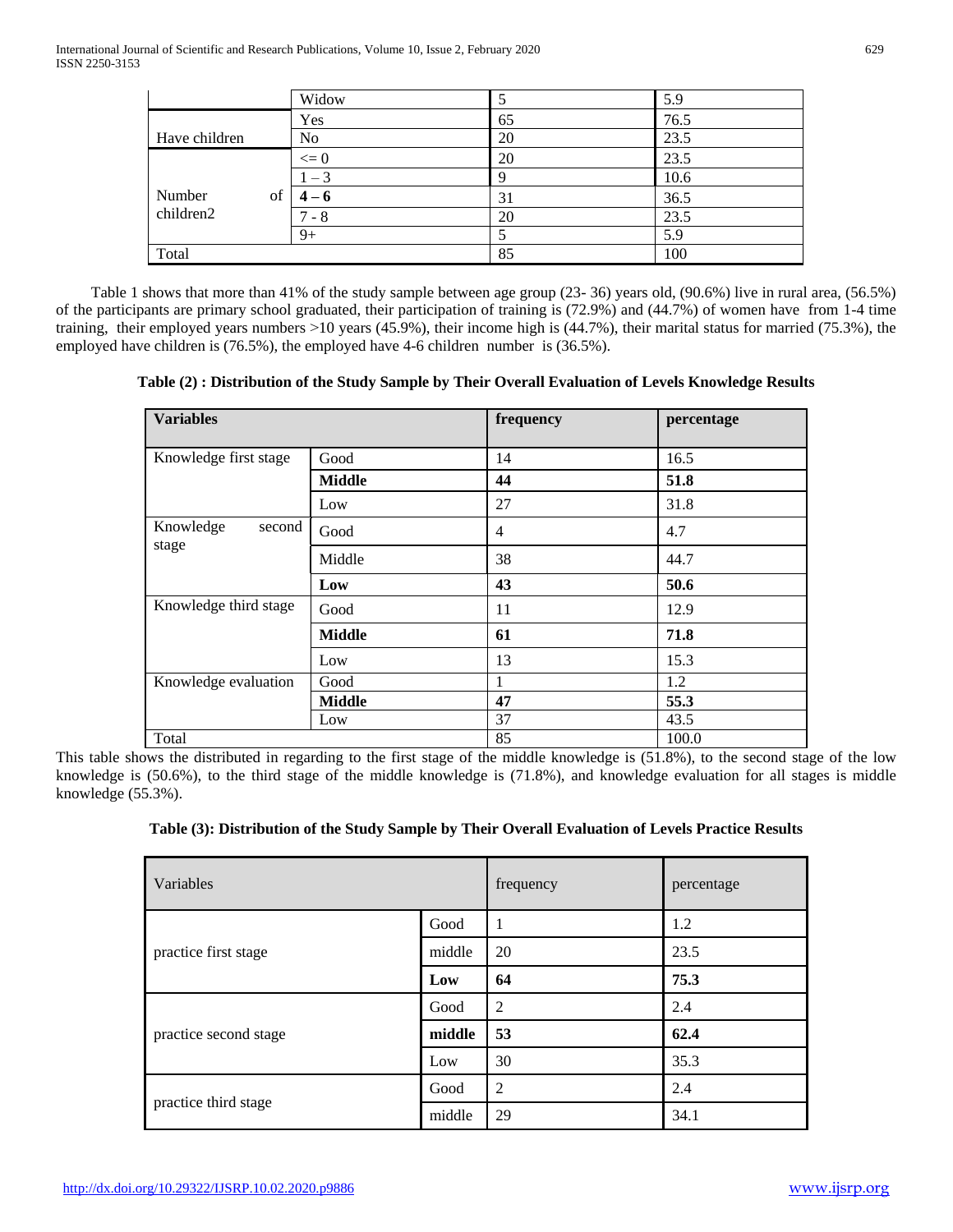|               | Widow    |    | 5.9  |
|---------------|----------|----|------|
|               | Yes      | 65 | 76.5 |
| Have children | No       | 20 | 23.5 |
|               | $\leq 0$ | 20 | 23.5 |
|               | $1 - 3$  |    | 10.6 |
| Number<br>of  |          | 31 | 36.5 |
| children2     | $7 - 8$  | 20 | 23.5 |
|               | $9+$     |    | 5.9  |
| Total         |          | 85 | 100  |

 Table 1 shows that more than 41% of the study sample between age group (23- 36) years old, (90.6%) live in rural area, (56.5%) of the participants are primary school graduated, their participation of training is (72.9%) and (44.7%) of women have from 1-4 time training, their employed years numbers <10 years (45.9%), their income high is (44.7%), their marital status for married (75.3%), the employed have children is (76.5%), the employed have 4-6 children number is (36.5%).

**Table (2) : Distribution of the Study Sample by Their Overall Evaluation of Levels Knowledge Results**

| <b>Variables</b>             |               | frequency | percentage |  |
|------------------------------|---------------|-----------|------------|--|
| Knowledge first stage        | Good          | 14        | 16.5       |  |
|                              | <b>Middle</b> | 44        | 51.8       |  |
|                              | Low           | 27        | 31.8       |  |
| Knowledge<br>second<br>stage | Good          | 4         | 4.7        |  |
|                              | Middle        | 38        | 44.7       |  |
|                              | Low           | 43        | 50.6       |  |
| Knowledge third stage        | Good          | 11        | 12.9       |  |
|                              | <b>Middle</b> | 61        | 71.8       |  |
|                              | Low           | 13        | 15.3       |  |
| Knowledge evaluation         | Good          |           | 1.2        |  |
|                              | <b>Middle</b> | 47        | 55.3       |  |
|                              | Low           | 37        | 43.5       |  |
| Total                        |               | 85        | 100.0      |  |

This table shows the distributed in regarding to the first stage of the middle knowledge is (51.8%), to the second stage of the low knowledge is (50.6%), to the third stage of the middle knowledge is (71.8%), and knowledge evaluation for all stages is middle knowledge (55.3%).

|  | Table (3): Distribution of the Study Sample by Their Overall Evaluation of Levels Practice Results |
|--|----------------------------------------------------------------------------------------------------|
|  |                                                                                                    |

| Variables             |        | frequency      | percentage |
|-----------------------|--------|----------------|------------|
|                       | Good   | 1              | 1.2        |
| practice first stage  | middle | 20             | 23.5       |
|                       | Low    | 64             | 75.3       |
|                       | Good   | 2              | 2.4        |
| practice second stage | middle | 53             | 62.4       |
|                       | Low    | 30             | 35.3       |
|                       | Good   | $\overline{2}$ | 2.4        |
| practice third stage  | middle | 29             | 34.1       |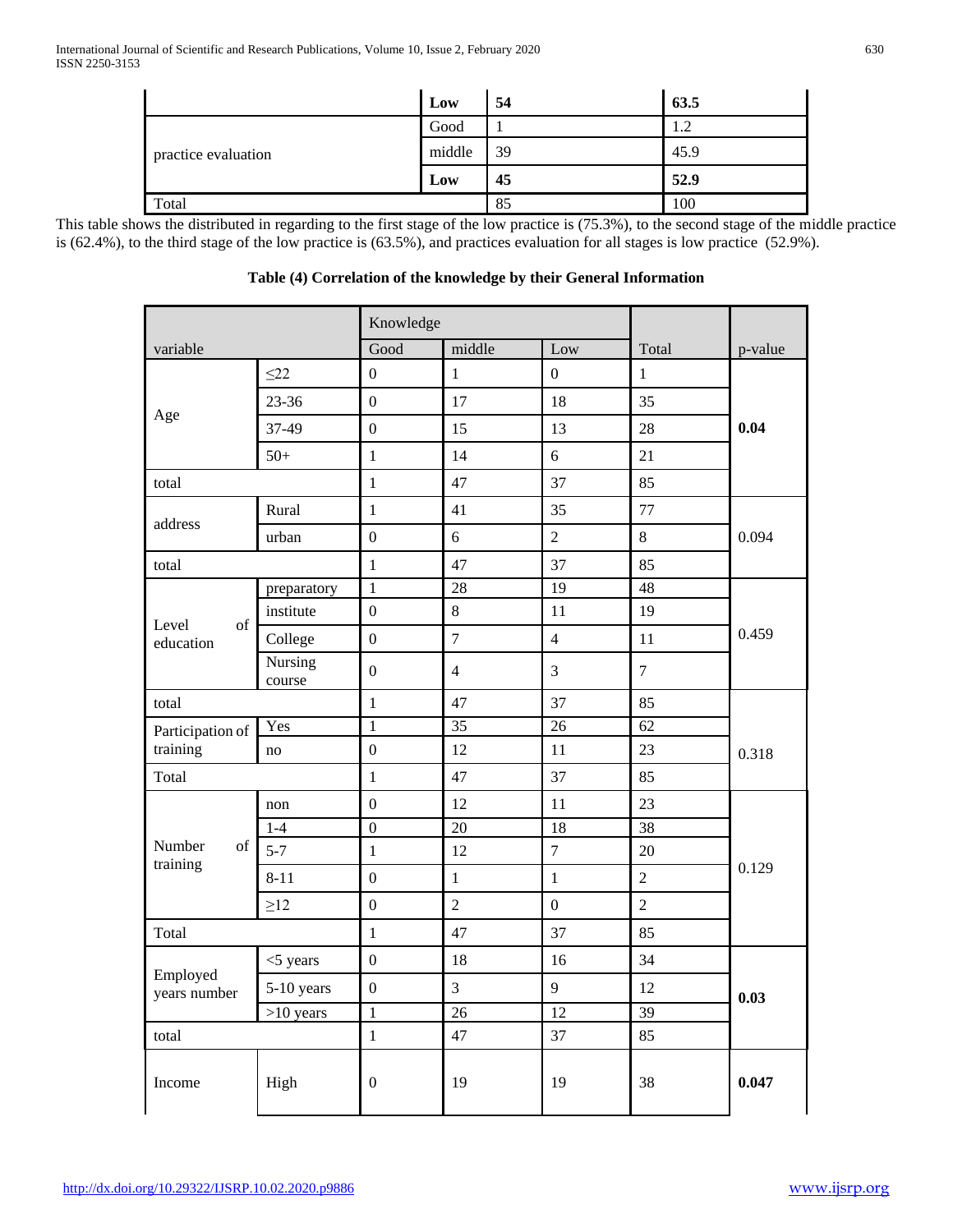|                     | Low    | 54 | 63.5 |
|---------------------|--------|----|------|
|                     | Good   |    | 1.2  |
| practice evaluation | middle | 39 | 45.9 |
|                     | Low    | 45 | 52.9 |
| Total               |        | 85 | 100  |

This table shows the distributed in regarding to the first stage of the low practice is (75.3%), to the second stage of the middle practice is (62.4%), to the third stage of the low practice is (63.5%), and practices evaluation for all stages is low practice (52.9%).

|                              |                   | Knowledge        |                  |                |                  |         |
|------------------------------|-------------------|------------------|------------------|----------------|------------------|---------|
| variable                     |                   | Good             | middle           | Low            | Total            | p-value |
|                              | $\leq$ 22         | $\overline{0}$   | $\mathbf{1}$     | $\mathbf{0}$   | $\mathbf{1}$     |         |
|                              | 23-36             | $\boldsymbol{0}$ | 17               | 18             | 35               |         |
| Age                          | 37-49             | $\boldsymbol{0}$ | 15               | 13             | 28               | 0.04    |
|                              | $50+$             | $\mathbf{1}$     | 14               | 6              | 21               |         |
| total                        |                   | $\mathbf{1}$     | 47               | 37             | 85               |         |
|                              | Rural             | $\mathbf{1}$     | 41               | 35             | 77               |         |
| address                      | urban             | $\boldsymbol{0}$ | $\sqrt{6}$       | $\overline{c}$ | $\,8\,$          | 0.094   |
| total                        |                   | $\mathbf{1}$     | 47               | 37             | 85               |         |
|                              | preparatory       | $\mathbf{1}$     | 28               | 19             | 48               |         |
|                              | institute         | $\boldsymbol{0}$ | 8                | 11             | 19               |         |
| of<br>Level<br>education     | College           | $\boldsymbol{0}$ | $\boldsymbol{7}$ | $\overline{4}$ | 11               | 0.459   |
|                              | Nursing<br>course | $\boldsymbol{0}$ | $\overline{4}$   | 3              | $\boldsymbol{7}$ |         |
| total                        |                   | $\mathbf{1}$     | 47               | 37             | 85               |         |
| Participation of<br>training | Yes               | $\mathbf{1}$     | 35               | 26             | 62               | 0.318   |
|                              | no                | $\overline{0}$   | 12               | 11             | 23               |         |
| Total                        |                   | $\mathbf{1}$     | 47               | 37             | 85               |         |
|                              | non               | $\boldsymbol{0}$ | 12               | 11             | 23               |         |
|                              | $1-4$             | $\boldsymbol{0}$ | 20               | 18             | 38               |         |
| Number<br>of<br>training     | $5 - 7$           | $\mathbf{1}$     | 12               | $\overline{7}$ | 20               |         |
|                              | $8 - 11$          | $\boldsymbol{0}$ | $\mathbf{1}$     | $\mathbf{1}$   | $\sqrt{2}$       | 0.129   |
|                              | $\geq$ 12         | $\boldsymbol{0}$ | $\overline{2}$   | $\overline{0}$ | $\overline{2}$   |         |
| Total                        |                   | $\mathbf{1}$     | 47               | 37             | 85               |         |
|                              | $<$ 5 years       | $\mathbf{0}$     | 18               | 16             | 34               |         |
| Employed<br>years number     | 5-10 years        | $\boldsymbol{0}$ | $\overline{3}$   | 9              | 12               | 0.03    |
|                              | $>10$ years       | $\mathbf{1}$     | 26               | 12             | 39               |         |
| total                        |                   | $\mathbf{1}$     | 47               | 37             | 85               |         |
| Income                       | High              | $\boldsymbol{0}$ | 19               | 19             | 38               | 0.047   |

# **Table (4) Correlation of the knowledge by their General Information**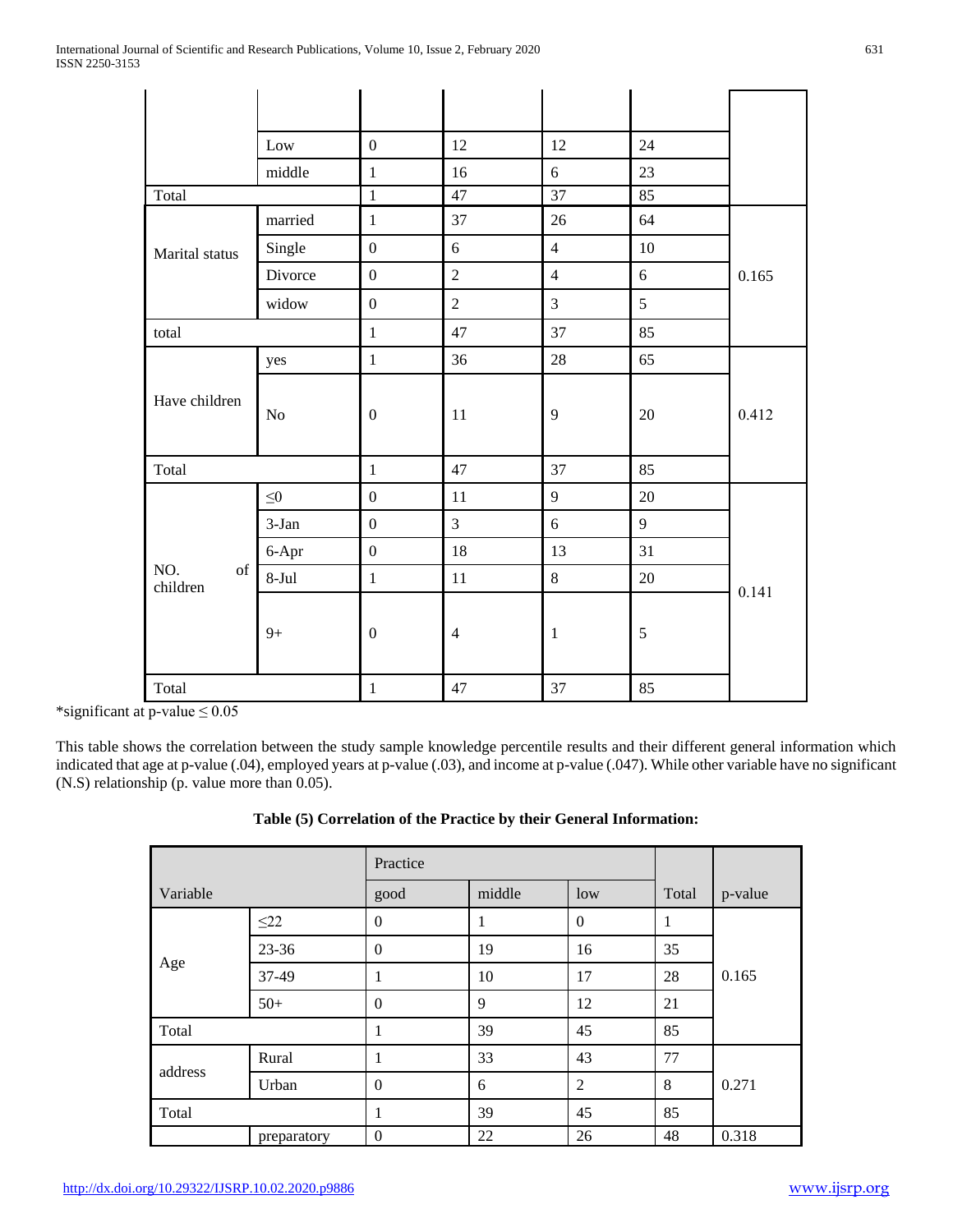|                       | Low            | $\boldsymbol{0}$ | 12             | 12              | 24 |       |
|-----------------------|----------------|------------------|----------------|-----------------|----|-------|
|                       | middle         | $\mathbf{1}$     | 16             | 6               | 23 |       |
| Total                 |                | $\mathbf{1}$     | $47\,$         | $\overline{37}$ | 85 |       |
|                       | married        | $\mathbf{1}$     | 37             | 26              | 64 |       |
| Marital status        | Single         | $\boldsymbol{0}$ | 6              | $\overline{4}$  | 10 |       |
|                       | Divorce        | $\boldsymbol{0}$ | $\overline{2}$ | $\overline{4}$  | 6  | 0.165 |
|                       | widow          | $\boldsymbol{0}$ | $\overline{2}$ | 3               | 5  |       |
| total                 |                | $\mathbf 1$      | 47             | 37              | 85 |       |
|                       | yes            | $\mathbf{1}$     | 36             | 28              | 65 |       |
| Have children         | N <sub>o</sub> | $\boldsymbol{0}$ | $11\,$         | 9               | 20 | 0.412 |
| Total                 |                | $\mathbf{1}$     | 47             | 37              | 85 |       |
|                       | $\leq\!\!0$    | $\boldsymbol{0}$ | 11             | 9               | 20 |       |
| NO.<br>of<br>children | $3-Jan$        | $\boldsymbol{0}$ | $\overline{3}$ | $6\,$           | 9  |       |
|                       | 6-Apr          | $\boldsymbol{0}$ | 18             | 13              | 31 |       |
|                       | $8-Jul$        | $\mathbf{1}$     | 11             | 8               | 20 | 0.141 |
|                       | $9+$           | $\boldsymbol{0}$ | $\overline{4}$ | $\mathbf{1}$    | 5  |       |
| Total                 |                | $\mathbf{1}$     | 47             | 37              | 85 |       |

\*significant at  $p$ -value  $\leq 0.05$ 

This table shows the correlation between the study sample knowledge percentile results and their different general information which indicated that age at p-value (.04), employed years at p-value (.03), and income at p-value (.047). While other variable have no significant (N.S) relationship (p. value more than 0.05).

|  | Table (5) Correlation of the Practice by their General Information: |  |
|--|---------------------------------------------------------------------|--|
|  |                                                                     |  |

|          |             | Practice         |        |                  |       |         |
|----------|-------------|------------------|--------|------------------|-------|---------|
| Variable |             | good             | middle | low              | Total | p-value |
|          | $\leq$ 22   | $\boldsymbol{0}$ | 1      | $\boldsymbol{0}$ | 1     |         |
|          | 23-36       | $\mathbf{0}$     | 19     | 16               | 35    |         |
| Age      | 37-49       | 1                | 10     | 17               | 28    | 0.165   |
|          | $50+$       | $\boldsymbol{0}$ | 9      | 12               | 21    |         |
| Total    |             | 1                | 39     | 45               | 85    |         |
| address  | Rural       | 1                | 33     | 43               | 77    |         |
|          | Urban       | $\boldsymbol{0}$ | 6      | $\overline{2}$   | 8     | 0.271   |
| Total    |             | 1                | 39     | 45               | 85    |         |
|          | preparatory | $\mathbf{0}$     | 22     | 26               | 48    | 0.318   |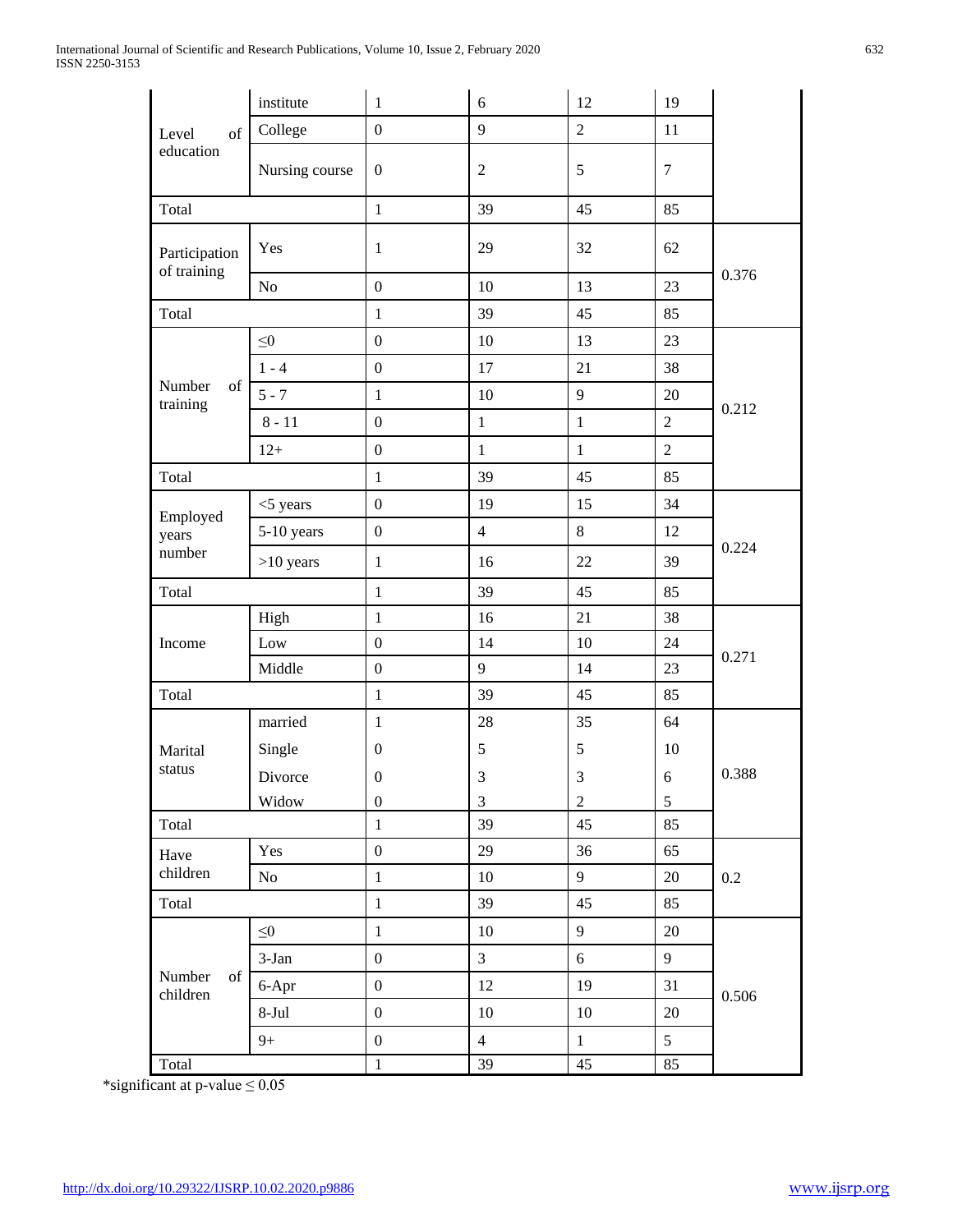|                              | institute      | $\mathbf{1}$     | 6              | 12             | 19             |       |
|------------------------------|----------------|------------------|----------------|----------------|----------------|-------|
| of<br>Level                  | College        | $\boldsymbol{0}$ | 9              | $\overline{2}$ | 11             |       |
| education                    | Nursing course | $\boldsymbol{0}$ | $\mathfrak{2}$ | $\sqrt{5}$     | $\tau$         |       |
| Total                        |                |                  | 39             | 45             | 85             |       |
| Participation<br>of training | Yes            | $\mathbf{1}$     | 29             | 32             | 62             | 0.376 |
|                              | $\rm No$       | $\boldsymbol{0}$ | $10\,$         | 13             | 23             |       |
| Total                        |                | $\mathbf{1}$     | 39             | 45             | 85             |       |
|                              | $\leq 0$       | $\boldsymbol{0}$ | 10             | 13             | 23             |       |
|                              | $1 - 4$        | $\boldsymbol{0}$ | 17             | 21             | 38             |       |
| Number<br>of<br>training     | $5 - 7$        | $\mathbf 1$      | $10\,$         | 9              | 20             |       |
|                              | $8 - 11$       | $\boldsymbol{0}$ | $\mathbf{1}$   | $\mathbf{1}$   | $\overline{2}$ | 0.212 |
|                              | $12+$          | $\boldsymbol{0}$ | $\mathbf{1}$   | $\mathbf{1}$   | $\overline{2}$ |       |
| Total                        |                | $\mathbf{1}$     | 39             | 45             | 85             |       |
|                              | $<$ 5 years    | $\boldsymbol{0}$ | 19             | 15             | 34             | 0.224 |
| Employed<br>years            | 5-10 years     | $\boldsymbol{0}$ | $\overline{4}$ | $\,8\,$        | 12             |       |
| number                       | $>10$ years    | $\mathbf{1}$     | 16             | 22             | 39             |       |
| Total                        |                | $\mathbf{1}$     | 39             | 45             | 85             |       |
|                              | High           | $\mathbf{1}$     | 16             | 21             | 38             | 0.271 |
| Income                       | Low            | $\boldsymbol{0}$ | 14             | 10             | 24             |       |
|                              | Middle         | $\boldsymbol{0}$ | 9              | 14             | 23             |       |
| Total                        |                | $\mathbf{1}$     | 39             | 45             | 85             |       |
|                              | married        | $\mathbf 1$      | 28             | 35             | 64             |       |
| Marital                      | Single         | $\boldsymbol{0}$ | $\mathfrak s$  | $\mathfrak s$  | 10             |       |
| status                       | Divorce        | $\boldsymbol{0}$ | 3              | 3              | $\epsilon$     | 0.388 |
|                              | Widow          | $\boldsymbol{0}$ | $\mathfrak{Z}$ | $\sqrt{2}$     | 5              |       |
| Total                        |                | $\mathbf{1}$     | 39             | 45             | 85             |       |
| Have                         | Yes            | $\boldsymbol{0}$ | 29             | 36             | 65             |       |
| children                     | No             | $\mathbf{1}$     | 10             | 9              | $20\,$         | 0.2   |
| Total                        |                | $\mathbf 1$      | 39             | 45             | 85             |       |
|                              | $\leq 0$       | $\,1\,$          | 10             | 9              | 20             |       |
|                              | $3-Jan$        | $\boldsymbol{0}$ | $\mathfrak{Z}$ | $\overline{6}$ | $\overline{9}$ |       |
| Number<br>of<br>children     | 6-Apr          | $\overline{0}$   | $12\,$         | 19             | 31             | 0.506 |
|                              | $8-Jul$        | $\boldsymbol{0}$ | 10             | $10\,$         | 20             |       |
|                              | $9+$           | $\boldsymbol{0}$ | $\overline{4}$ | $\mathbf{1}$   | 5              |       |
| Total                        |                | $\,1\,$          | 39             | 45             | 85             |       |

\*significant at p-value  $\leq 0.05$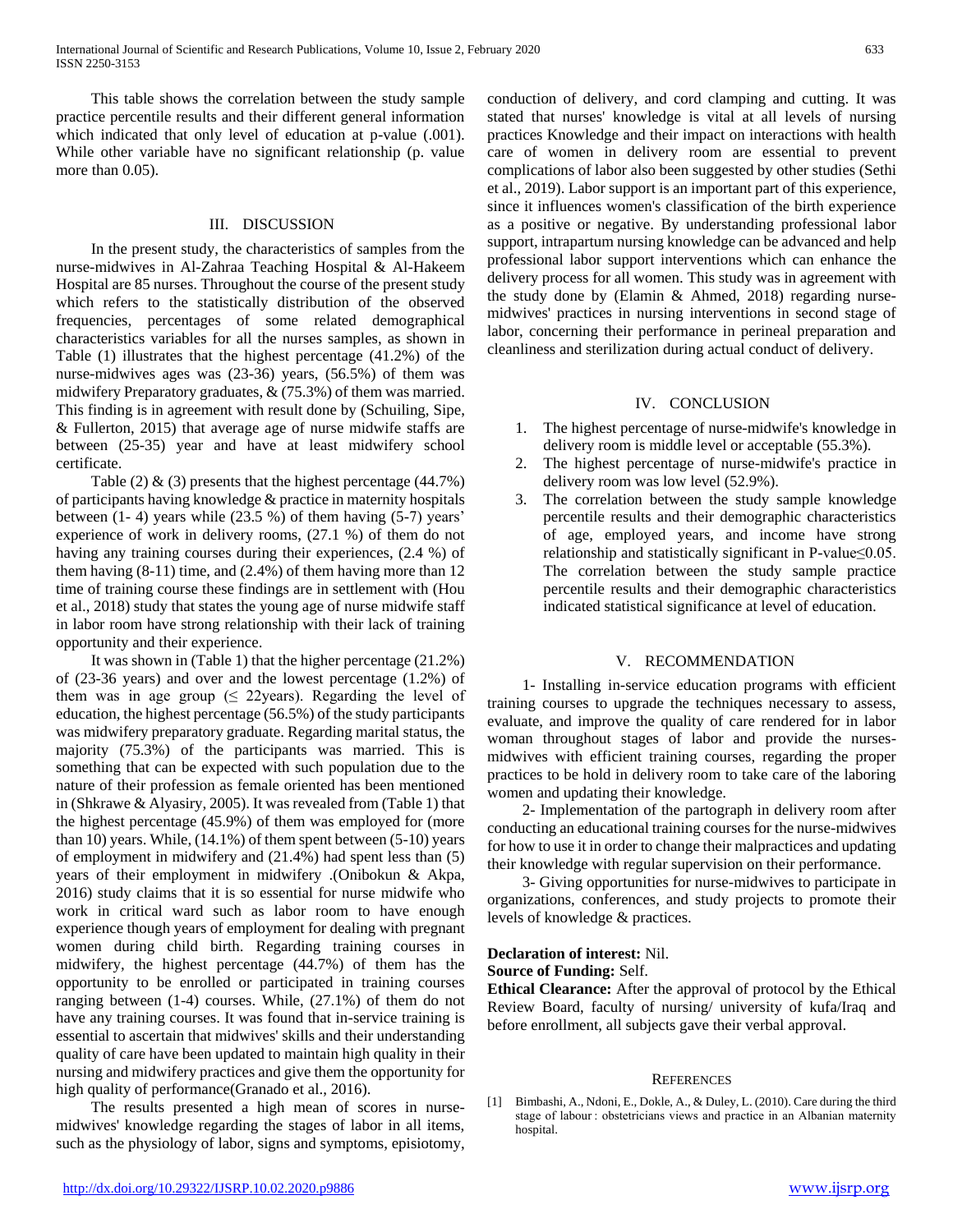This table shows the correlation between the study sample practice percentile results and their different general information which indicated that only level of education at p-value  $(.001)$ . While other variable have no significant relationship (p. value more than 0.05).

#### III. DISCUSSION

 In the present study, the characteristics of samples from the nurse-midwives in Al-Zahraa Teaching Hospital & Al-Hakeem Hospital are 85 nurses. Throughout the course of the present study which refers to the statistically distribution of the observed frequencies, percentages of some related demographical characteristics variables for all the nurses samples, as shown in Table (1) illustrates that the highest percentage (41.2%) of the nurse-midwives ages was (23-36) years, (56.5%) of them was midwifery Preparatory graduates, & (75.3%) of them was married. This finding is in agreement with result done by (Schuiling, Sipe, & Fullerton, 2015) that average age of nurse midwife staffs are between (25-35) year and have at least midwifery school certificate.

Table (2)  $\&$  (3) presents that the highest percentage (44.7%) of participants having knowledge & practice in maternity hospitals between (1- 4) years while (23.5 %) of them having (5-7) years' experience of work in delivery rooms, (27.1 %) of them do not having any training courses during their experiences, (2.4 %) of them having (8-11) time, and (2.4%) of them having more than 12 time of training course these findings are in settlement with (Hou et al., 2018) study that states the young age of nurse midwife staff in labor room have strong relationship with their lack of training opportunity and their experience.

 It was shown in (Table 1) that the higher percentage (21.2%) of (23-36 years) and over and the lowest percentage (1.2%) of them was in age group ( $\leq$  22years). Regarding the level of education, the highest percentage (56.5%) of the study participants was midwifery preparatory graduate. Regarding marital status, the majority (75.3%) of the participants was married. This is something that can be expected with such population due to the nature of their profession as female oriented has been mentioned in (Shkrawe & Alyasiry, 2005). It was revealed from (Table 1) that the highest percentage (45.9%) of them was employed for (more than 10) years. While, (14.1%) of them spent between (5-10) years of employment in midwifery and (21.4%) had spent less than (5) years of their employment in midwifery .(Onibokun & Akpa, 2016) study claims that it is so essential for nurse midwife who work in critical ward such as labor room to have enough experience though years of employment for dealing with pregnant women during child birth. Regarding training courses in midwifery, the highest percentage (44.7%) of them has the opportunity to be enrolled or participated in training courses ranging between (1-4) courses. While, (27.1%) of them do not have any training courses. It was found that in-service training is essential to ascertain that midwives' skills and their understanding quality of care have been updated to maintain high quality in their nursing and midwifery practices and give them the opportunity for high quality of performance(Granado et al., 2016).

 The results presented a high mean of scores in nursemidwives' knowledge regarding the stages of labor in all items, such as the physiology of labor, signs and symptoms, episiotomy, conduction of delivery, and cord clamping and cutting. It was stated that nurses' knowledge is vital at all levels of nursing practices Knowledge and their impact on interactions with health care of women in delivery room are essential to prevent complications of labor also been suggested by other studies (Sethi et al., 2019). Labor support is an important part of this experience, since it influences women's classification of the birth experience as a positive or negative. By understanding professional labor support, intrapartum nursing knowledge can be advanced and help professional labor support interventions which can enhance the delivery process for all women. This study was in agreement with the study done by (Elamin & Ahmed, 2018) regarding nursemidwives' practices in nursing interventions in second stage of labor, concerning their performance in perineal preparation and cleanliness and sterilization during actual conduct of delivery.

# IV. CONCLUSION

- 1. The highest percentage of nurse-midwife's knowledge in delivery room is middle level or acceptable (55.3%).
- 2. The highest percentage of nurse-midwife's practice in delivery room was low level (52.9%).
- 3. The correlation between the study sample knowledge percentile results and their demographic characteristics of age, employed years, and income have strong relationship and statistically significant in P-value≤0.05. The correlation between the study sample practice percentile results and their demographic characteristics indicated statistical significance at level of education.

# V. RECOMMENDATION

 1- Installing in-service education programs with efficient training courses to upgrade the techniques necessary to assess, evaluate, and improve the quality of care rendered for in labor woman throughout stages of labor and provide the nursesmidwives with efficient training courses, regarding the proper practices to be hold in delivery room to take care of the laboring women and updating their knowledge.

 2- Implementation of the partograph in delivery room after conducting an educational training courses for the nurse-midwives for how to use it in order to change their malpractices and updating their knowledge with regular supervision on their performance.

 3- Giving opportunities for nurse-midwives to participate in organizations, conferences, and study projects to promote their levels of knowledge & practices.

# **Declaration of interest:** Nil.

# **Source of Funding:** Self.

**Ethical Clearance:** After the approval of protocol by the Ethical Review Board, faculty of nursing/ university of kufa/Iraq and before enrollment, all subjects gave their verbal approval.

#### **REFERENCES**

[1] Bimbashi, A., Ndoni, E., Dokle, A., & Duley, L. (2010). Care during the third stage of labour : obstetricians views and practice in an Albanian maternity hospital.